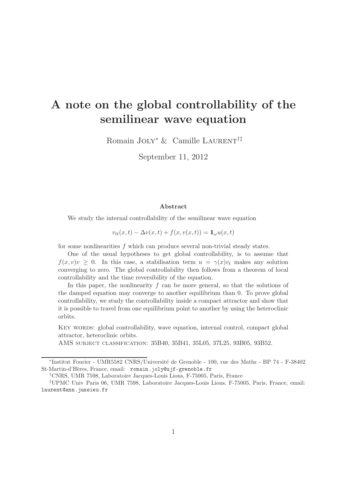# A note on the global controllability of the semilinear wave equation

Romain JOLY<sup>\*</sup> & Camille LAURENT<sup>†‡</sup>

September 11, 2012

#### Abstract

We study the internal controllability of the semilinear wave equation

 $v_{tt}(x,t) - \Delta v(x,t) + f(x,v(x,t)) = \mathbb{1}_{\omega}u(x,t)$ 

for some nonlinearities f which can produce several non-trivial steady states.

One of the usual hypotheses to get global controllability, is to assume that  $f(x, v)v \geq 0$ . In this case, a stabilisation term  $u = \gamma(x)v_t$  makes any solution converging to zero. The global controllability then follows from a theorem of local controllability and the time reversibility of the equation.

In this paper, the nonlinearity  $f$  can be more general, so that the solutions of the damped equation may converge to another equilibrium than 0. To prove global controllability, we study the controllability inside a compact attractor and show that it is possible to travel from one equilibrium point to another by using the heteroclinic orbits.

KEY WORDS: global controllability, wave equation, internal control, compact global attractor, heteroclinic orbits.

AMS subject classification: 35B40, 35B41, 35L05, 37L25, 93B05, 93B52.

<sup>\*</sup>Institut Fourier - UMR5582 CNRS/Université de Grenoble - 100, rue des Maths - BP 74 - F-38402 St-Martin-d'Hères, France, email: romain.joly@ujf-grenoble.fr

<sup>†</sup>CNRS, UMR 7598, Laboratoire Jacques-Louis Lions, F-75005, Paris, France

<sup>‡</sup>UPMC Univ Paris 06, UMR 7598, Laboratoire Jacques-Louis Lions, F-75005, Paris, France, email: laurent@ann.jussieu.fr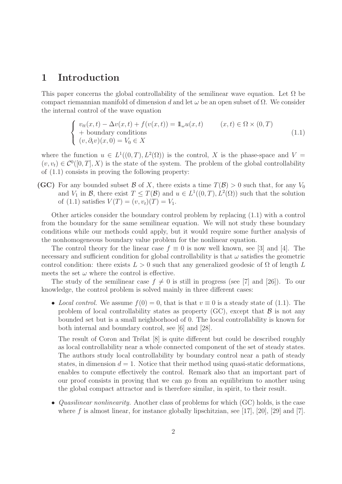# 1 Introduction

This paper concerns the global controllability of the semilinear wave equation. Let  $\Omega$  be compact riemannian manifold of dimension d and let  $\omega$  be an open subset of  $\Omega$ . We consider the internal control of the wave equation

$$
\begin{cases}\nv_{tt}(x,t) - \Delta v(x,t) + f(v(x,t)) = 1\!\!1_{\omega}u(x,t) & (x,t) \in \Omega \times (0,T) \\
\text{+ boundary conditions} \\
(v, \partial_t v)(x,0) = V_0 \in X\n\end{cases}
$$
\n(1.1)

where the function  $u \in L^1((0,T), L^2(\Omega))$  is the control, X is the phase-space and  $V =$  $(v, v_t) \in C^0([0, T], X)$  is the state of the system. The problem of the global controllability of (1.1) consists in proving the following property:

(GC) For any bounded subset B of X, there exists a time  $T(\mathcal{B}) > 0$  such that, for any  $V_0$ and  $V_1$  in B, there exist  $T \leq T(\mathcal{B})$  and  $u \in L^1((0,T), L^2(\Omega))$  such that the solution of (1.1) satisfies  $V(T) = (v, v_t)(T) = V_1$ .

Other articles consider the boundary control problem by replacing (1.1) with a control from the boundary for the same semilinear equation. We will not study these boundary conditions while our methods could apply, but it would require some further analysis of the nonhomogeneous boundary value problem for the nonlinear equation.

The control theory for the linear case  $f \equiv 0$  is now well known, see [3] and [4]. The necessary and sufficient condition for global controllability is that  $\omega$  satisfies the geometric control condition: there exists  $L > 0$  such that any generalized geodesic of  $\Omega$  of length L meets the set  $\omega$  where the control is effective.

The study of the semilinear case  $f \neq 0$  is still in progress (see [7] and [26]). To our knowledge, the control problem is solved mainly in three different cases:

• Local control. We assume  $f(0) = 0$ , that is that  $v \equiv 0$  is a steady state of (1.1). The problem of local controllability states as property  $(GC)$ , except that  $\mathcal B$  is not any bounded set but is a small neighborhood of 0. The local controllability is known for both internal and boundary control, see [6] and [28].

The result of Coron and Trélat [8] is quite different but could be described roughly as local controllability near a whole connected component of the set of steady states. The authors study local controllability by boundary control near a path of steady states, in dimension  $d = 1$ . Notice that their method using quasi-static deformations, enables to compute effectively the control. Remark also that an important part of our proof consists in proving that we can go from an equilibrium to another using the global compact attractor and is therefore similar, in spirit, to their result.

• Quasilinear nonlinearity. Another class of problems for which (GC) holds, is the case where f is almost linear, for instance globally lipschitzian, see [17], [20], [29] and [7].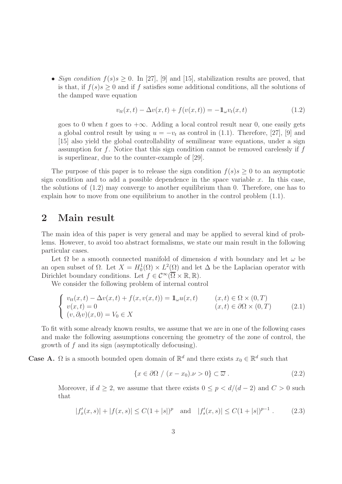• Sign condition  $f(s)$   $\geq$  0. In [27], [9] and [15], stabilization results are proved, that is that, if  $f(s)$ s > 0 and if f satisfies some additional conditions, all the solutions of the damped wave equation

$$
v_{tt}(x,t) - \Delta v(x,t) + f(v(x,t)) = -\mathbb{1}_{\omega}v_t(x,t)
$$
\n(1.2)

goes to 0 when t goes to  $+\infty$ . Adding a local control result near 0, one easily gets a global control result by using  $u = -v_t$  as control in (1.1). Therefore, [27], [9] and [15] also yield the global controllability of semilinear wave equations, under a sign assumption for f. Notice that this sign condition cannot be removed carelessly if  $f$ is superlinear, due to the counter-example of [29].

The purpose of this paper is to release the sign condition  $f(s)s \geq 0$  to an asymptotic sign condition and to add a possible dependence in the space variable  $x$ . In this case, the solutions of (1.2) may converge to another equilibrium than 0. Therefore, one has to explain how to move from one equilibrium to another in the control problem (1.1).

### 2 Main result

The main idea of this paper is very general and may be applied to several kind of problems. However, to avoid too abstract formalisms, we state our main result in the following particular cases.

Let  $\Omega$  be a smooth connected manifold of dimension d with boundary and let  $\omega$  be an open subset of  $\Omega$ . Let  $X = H_0^1(\Omega) \times L^2(\Omega)$  and let  $\Delta$  be the Laplacian operator with Dirichlet boundary conditions. Let  $f \in C^{\infty}(\overline{\Omega} \times \mathbb{R}, \mathbb{R})$ .

We consider the following problem of internal control

$$
\begin{cases}\nv_{tt}(x,t) - \Delta v(x,t) + f(x,v(x,t)) = 1\omega u(x,t) & (x,t) \in \Omega \times (0,T) \\
v(x,t) = 0 & (x,t) \in \partial\Omega \times (0,T) \\
(v,\partial_t v)(x,0) = V_0 \in X\n\end{cases}
$$
\n(2.1)

To fit with some already known results, we assume that we are in one of the following cases and make the following assumptions concerning the geometry of the zone of control, the growth of f and its sign (asymptotically defocusing).

**Case A.**  $\Omega$  is a smooth bounded open domain of  $\mathbb{R}^d$  and there exists  $x_0 \in \mathbb{R}^d$  such that

$$
\{x \in \partial\Omega \mid (x - x_0)\nu > 0\} \subset \overline{\omega} . \tag{2.2}
$$

Moreover, if  $d \geq 2$ , we assume that there exists  $0 \leq p < d/(d-2)$  and  $C > 0$  such that

$$
|f'_x(x,s)| + |f(x,s)| \le C(1+|s|)^p \quad \text{and} \quad |f'_s(x,s)| \le C(1+|s|)^{p-1} \ . \tag{2.3}
$$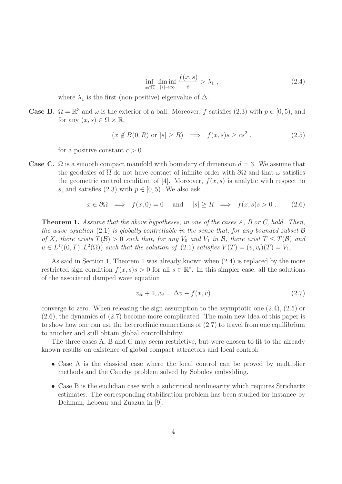$$
\inf_{x \in \overline{\Omega}} \liminf_{|s| \to \infty} \frac{f(x, s)}{s} > \lambda_1 , \qquad (2.4)
$$

where  $\lambda_1$  is the first (non-positive) eigenvalue of  $\Delta$ .

**Case B.**  $\Omega = \mathbb{R}^3$  and  $\omega$  is the exterior of a ball. Moreover, f satisfies (2.3) with  $p \in [0, 5)$ , and for any  $(x, s) \in \Omega \times \mathbb{R}$ ,

$$
(x \notin B(0,R) \text{ or } |s| \ge R) \implies f(x,s)s \ge cs^2. \tag{2.5}
$$

for a positive constant  $c > 0$ .

Case C.  $\Omega$  is a smooth compact manifold with boundary of dimension  $d = 3$ . We assume that the geodesics of  $\overline{\Omega}$  do not have contact of infinite order with  $\partial\Omega$  and that  $\omega$  satisfies the geometric control condition of [4]. Moreover,  $f(x, s)$  is analytic with respect to s, and satisfies (2.3) with  $p \in [0, 5)$ . We also ask

$$
x \in \partial \Omega \implies f(x, 0) = 0 \text{ and } |s| \ge R \implies f(x, s)s > 0.
$$
 (2.6)

Theorem 1. Assume that the above hypotheses, in one of the cases A, B or C, hold. Then, the wave equation (2.1) is globally controllable in the sense that, for any bounded subset  $\mathcal{B}$ of X, there exists  $T(\mathcal{B}) > 0$  such that, for any  $V_0$  and  $V_1$  in  $\mathcal{B}$ , there exist  $T \leq T(\mathcal{B})$  and  $u \in L^1((0,T), L^2(\Omega))$  such that the solution of  $(2.1)$  satisfies  $V(T) = (v, v_t)(T) = V_1$ .

As said in Section 1, Theorem 1 was already known when (2.4) is replaced by the more restricted sign condition  $f(x, s) s > 0$  for all  $s \in \mathbb{R}^*$ . In this simpler case, all the solutions of the associated damped wave equation

$$
v_{tt} + \mathbb{1}_{\omega} v_t = \Delta v - f(x, v) \tag{2.7}
$$

converge to zero. When releasing the sign assumption to the asymptotic one (2.4), (2.5) or (2.6), the dynamics of (2.7) become more complicated. The main new idea of this paper is to show how one can use the heteroclinic connections of (2.7) to travel from one equilibrium to another and still obtain global controllability.

The three cases A, B and C may seem restrictive, but were chosen to fit to the already known results on existence of global compact attractors and local control:

- Case A is the classical case where the local control can be proved by multiplier methods and the Cauchy problem solved by Sobolev embedding.
- Case B is the euclidian case with a subcritical nonlinearity which requires Strichartz estimates. The corresponding stabilisation problem has been studied for instance by Dehman, Lebeau and Zuazua in [9].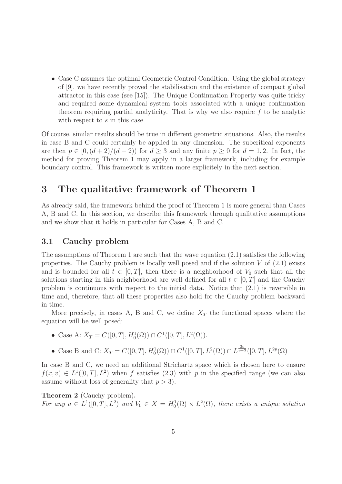• Case C assumes the optimal Geometric Control Condition. Using the global strategy of [9], we have recently proved the stabilisation and the existence of compact global attractor in this case (see [15]). The Unique Continuation Property was quite tricky and required some dynamical system tools associated with a unique continuation theorem requiring partial analyticity. That is why we also require  $f$  to be analytic with respect to s in this case.

Of course, similar results should be true in different geometric situations. Also, the results in case B and C could certainly be applied in any dimension. The subcritical exponents are then  $p \in [0, (d+2)/(d-2))$  for  $d \geq 3$  and any finite  $p \geq 0$  for  $d = 1, 2$ . In fact, the method for proving Theorem 1 may apply in a larger framework, including for example boundary control. This framework is written more explicitely in the next section.

### 3 The qualitative framework of Theorem 1

As already said, the framework behind the proof of Theorem 1 is more general than Cases A, B and C. In this section, we describe this framework through qualitative assumptions and we show that it holds in particular for Cases A, B and C.

#### 3.1 Cauchy problem

The assumptions of Theorem 1 are such that the wave equation (2.1) satisfies the following properties. The Cauchy problem is locally well posed and if the solution  $V$  of  $(2.1)$  exists and is bounded for all  $t \in [0, T]$ , then there is a neighborhood of  $V_0$  such that all the solutions starting in this neighborhood are well defined for all  $t \in [0, T]$  and the Cauchy problem is continuous with respect to the initial data. Notice that (2.1) is reversible in time and, therefore, that all these properties also hold for the Cauchy problem backward in time.

More precisely, in cases A, B and C, we define  $X_T$  the functional spaces where the equation will be well posed:

- Case A:  $X_T = C([0, T], H_0^1(\Omega)) \cap C^1([0, T], L^2(\Omega)).$
- Case B and C:  $X_T = C([0,T], H_0^1(\Omega)) \cap C^1([0,T], L^2(\Omega)) \cap L^{\frac{2p}{p-3}}([0,T], L^{2p}(\Omega))$

In case B and C, we need an additional Strichartz space which is chosen here to ensure  $f(x, v) \in L^1([0, T], L^2)$  when f satisfies (2.3) with p in the specified range (we can also assume without loss of generality that  $p > 3$ .

Theorem 2 (Cauchy problem). For any  $u \in L^1([0,T], L^2)$  and  $V_0 \in X = H_0^1(\Omega) \times L^2(\Omega)$ , there exists a unique solution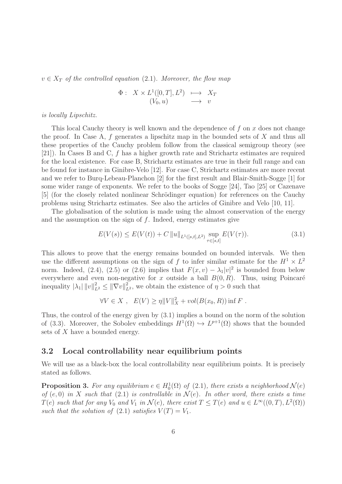$v \in X_T$  of the controlled equation (2.1). Moreover, the flow map

$$
\begin{array}{rcl}\n\Phi: & X \times L^1([0, T], L^2) & \longmapsto & X_T \\
(V_0, u) & \longrightarrow & v\n\end{array}
$$

is locally Lipschitz.

This local Cauchy theory is well known and the dependence of  $f$  on  $x$  does not change the proof. In Case A,  $f$  generates a lipschitz map in the bounded sets of  $X$  and thus all these properties of the Cauchy problem follow from the classical semigroup theory (see [21]). In Cases B and C, f has a higher growth rate and Strichartz estimates are required for the local existence. For case B, Strichartz estimates are true in their full range and can be found for instance in Ginibre-Velo [12]. For case C, Strichartz estimates are more recent and we refer to Burq-Lebeau-Planchon [2] for the first result and Blair-Smith-Sogge [1] for some wider range of exponents. We refer to the books of Sogge [24], Tao [25] or Cazenave [5] (for the closely related nonlinear Schrödinger equation) for references on the Cauchy problems using Strichartz estimates. See also the articles of Ginibre and Velo [10, 11].

The globalisation of the solution is made using the almost conservation of the energy and the assumption on the sign of  $f$ . Indeed, energy estimates give

$$
E(V(s)) \le E(V(t)) + C ||u||_{L^{1}([s,t],L^{2})} \sup_{\tau \in [s,t]} E(V(\tau)).
$$
\n(3.1)

This allows to prove that the energy remains bounded on bounded intervals. We then use the different assumptions on the sign of f to infer similar estimate for the  $H^1 \times L^2$ norm. Indeed, (2.4), (2.5) or (2.6) implies that  $F(x, v) - \lambda_1 |v|^2$  is bounded from below everywhere and even non-negative for x outside a ball  $B(0, R)$ . Thus, using Poincaré inequality  $|\lambda_1| \|v\|_{L^2}^2 \leq \|\nabla v\|_{L^2}^2$ , we obtain the existence of  $\eta > 0$  such that

 $\forall V \in X$ ,  $E(V) \ge \eta \|V\|_X^2 + vol(B(x_0, R))$  inf F.

Thus, the control of the energy given by (3.1) implies a bound on the norm of the solution of (3.3). Moreover, the Sobolev embeddings  $H^1(\Omega) \hookrightarrow L^{p+1}(\Omega)$  shows that the bounded sets of X have a bounded energy.

#### 3.2 Local controllability near equilibrium points

We will use as a black-box the local controllability near equilibrium points. It is precisely stated as follows.

**Proposition 3.** For any equilibrium  $e \in H_0^1(\Omega)$  of  $(2.1)$ , there exists a neighborhood  $\mathcal{N}(e)$ of  $(e, 0)$  in X such that  $(2.1)$  is controllable in  $\mathcal{N}(e)$ . In other word, there exists a time  $T(e)$  such that for any  $V_0$  and  $V_1$  in  $\mathcal{N}(e)$ , there exist  $T \leq T(e)$  and  $u \in L^{\infty}((0,T), L^2(\Omega))$ such that the solution of (2.1) satisfies  $V(T) = V_1$ .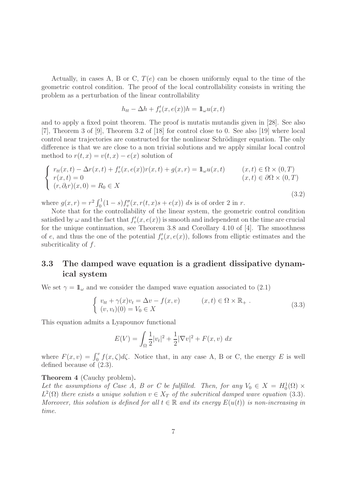Actually, in cases A, B or C,  $T(e)$  can be chosen uniformly equal to the time of the geometric control condition. The proof of the local controllability consists in writing the problem as a perturbation of the linear controllability

$$
h_{tt} - \Delta h + f'_v(x, e(x))h = \mathbb{1}_{\omega}u(x, t)
$$

and to apply a fixed point theorem. The proof is mutatis mutandis given in [28]. See also [7], Theorem 3 of [9], Theorem 3.2 of [18] for control close to 0. See also [19] where local control near trajectories are constructed for the nonlinear Schrödinger equation. The only difference is that we are close to a non trivial solutions and we apply similar local control method to  $r(t, x) = v(t, x) - e(x)$  solution of

$$
\begin{cases}\nr_{tt}(x,t) - \Delta r(x,t) + f'_v(x,e(x))r(x,t) + g(x,r) = 1\!\!1_{\omega}u(x,t) & (x,t) \in \Omega \times (0,T) \\
r(x,t) = 0 & (x,t) \in \partial\Omega \times (0,T) \\
(r,\partial_t r)(x,0) = R_0 \in X\n\end{cases}
$$
\n(3.2)

where  $g(x,r) = r^2 \int_0^1 (1-s) f''_v(x, r(t,x)s + e(x)) ds$  is of order 2 in r.

Note that for the controllability of the linear system, the geometric control condition satisfied by  $\omega$  and the fact that  $f'_v(x, e(x))$  is smooth and independent on the time are crucial for the unique continuation, see Theorem 3.8 and Corollary 4.10 of [4]. The smoothness of e, and thus the one of the potential  $f'_v(x, e(x))$ , follows from elliptic estimates and the subcriticality of f.

#### 3.3 The damped wave equation is a gradient dissipative dynamical system

We set  $\gamma = \mathbb{1}_{\omega}$  and we consider the damped wave equation associated to (2.1)

$$
\begin{cases}\nv_{tt} + \gamma(x)v_t = \Delta v - f(x, v) & (x, t) \in \Omega \times \mathbb{R}_+ .\\ \n(v, v_t)(0) = V_0 \in X\n\end{cases}
$$
\n(3.3)

This equation admits a Lyapounov functional

$$
E(V) = \int_{\Omega} \frac{1}{2} |v_t|^2 + \frac{1}{2} |\nabla v|^2 + F(x, v) \, dx
$$

where  $F(x, v) = \int_0^v f(x, \zeta) d\zeta$ . Notice that, in any case A, B or C, the energy E is well defined because of (2.3).

#### Theorem 4 (Cauchy problem).

Let the assumptions of Case A, B or C be fulfilled. Then, for any  $V_0 \in X = H_0^1(\Omega) \times$  $L^2(\Omega)$  there exists a unique solution  $v \in X_T$  of the subcritical damped wave equation (3.3). Moreover, this solution is defined for all  $t \in \mathbb{R}$  and its energy  $E(u(t))$  is non-increasing in time.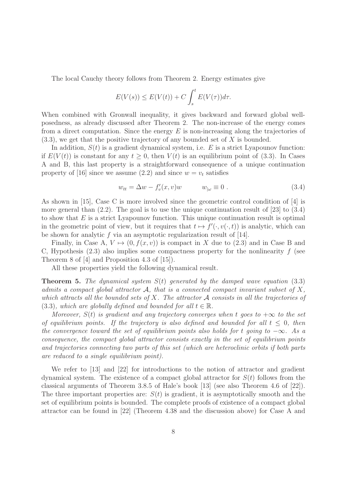The local Cauchy theory follows from Theorem 2. Energy estimates give

$$
E(V(s)) \le E(V(t)) + C \int_s^t E(V(\tau))d\tau.
$$

When combined with Gronwall inequality, it gives backward and forward global wellposedness, as already discussed after Theorem 2. The non-increase of the energy comes from a direct computation. Since the energy  $E$  is non-increasing along the trajectories of  $(3.3)$ , we get that the positive trajectory of any bounded set of X is bounded.

In addition,  $S(t)$  is a gradient dynamical system, i.e. E is a strict Lyapounov function: if  $E(V(t))$  is constant for any  $t > 0$ , then  $V(t)$  is an equilibrium point of (3.3). In Cases A and B, this last property is a straightforward consequence of a unique continuation property of [16] since we assume (2.2) and since  $w = v_t$  satisfies

$$
w_{tt} = \Delta w - f'_v(x, v)w \qquad w_{\vert\omega} \equiv 0. \qquad (3.4)
$$

As shown in [15], Case C is more involved since the geometric control condition of [4] is more general than  $(2.2)$ . The goal is to use the unique continuation result of [23] to  $(3.4)$ to show that  $E$  is a strict Lyapounov function. This unique continuation result is optimal in the geometric point of view, but it requires that  $t \mapsto f'(\cdot, v(\cdot, t))$  is analytic, which can be shown for analytic f via an asymptotic regularization result of [14].

Finally, in Case A,  $V \mapsto (0, f(x, v))$  is compact in X due to (2.3) and in Case B and C, Hypothesis  $(2.3)$  also implies some compactness property for the nonlinearity f (see Theorem 8 of [4] and Proposition 4.3 of [15]).

All these properties yield the following dynamical result.

**Theorem 5.** The dynamical system  $S(t)$  generated by the damped wave equation (3.3) admits a compact global attractor  $\mathcal{A}$ , that is a connected compact invariant subset of X, which attracts all the bounded sets of X. The attractor  $A$  consists in all the trajectories of (3.3), which are globally defined and bounded for all  $t \in \mathbb{R}$ .

Moreover,  $S(t)$  is gradient and any trajectory converges when t goes to  $+\infty$  to the set of equilibrium points. If the trajectory is also defined and bounded for all  $t \leq 0$ , then the convergence toward the set of equilibrium points also holds for t going to  $-\infty$ . As a consequence, the compact global attractor consists exactly in the set of equilibrium points and trajectories connecting two parts of this set (which are heteroclinic orbits if both parts are reduced to a single equilibrium point).

We refer to [13] and [22] for introductions to the notion of attractor and gradient dynamical system. The existence of a compact global attractor for  $S(t)$  follows from the classical arguments of Theorem 3.8.5 of Hale's book [13] (see also Theorem 4.6 of [22]). The three important properties are:  $S(t)$  is gradient, it is asymptotically smooth and the set of equilibrium points is bounded. The complete proofs of existence of a compact global attractor can be found in [22] (Theorem 4.38 and the discussion above) for Case A and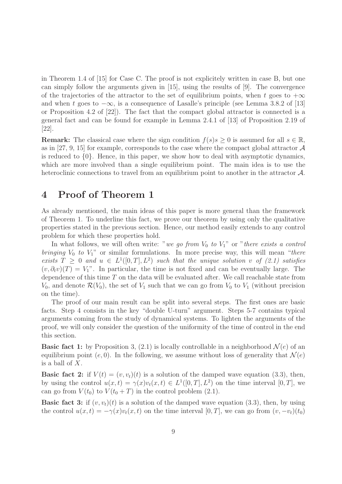in Theorem 1.4 of [15] for Case C. The proof is not explicitely written in case B, but one can simply follow the arguments given in [15], using the results of [9]. The convergence of the trajectories of the attractor to the set of equilibrium points, when t goes to  $+\infty$ and when t goes to  $-\infty$ , is a consequence of Lasalle's principle (see Lemma 3.8.2 of [13] or Proposition 4.2 of [22]). The fact that the compact global attractor is connected is a general fact and can be found for example in Lemma 2.4.1 of [13] of Proposition 2.19 of [22].

**Remark:** The classical case where the sign condition  $f(s)s \geq 0$  is assumed for all  $s \in \mathbb{R}$ , as in [27, 9, 15] for example, corresponds to the case where the compact global attractor  $\mathcal A$ is reduced to  $\{0\}$ . Hence, in this paper, we show how to deal with asymptotic dynamics, which are more involved than a single equilibrium point. The main idea is to use the heteroclinic connections to travel from an equilibrium point to another in the attractor  $\mathcal{A}$ .

# 4 Proof of Theorem 1

As already mentioned, the main ideas of this paper is more general than the framework of Theorem 1. To underline this fact, we prove our theorem by using only the qualitative properties stated in the previous section. Hence, our method easily extends to any control problem for which these properties hold.

In what follows, we will often write: "we go from  $V_0$  to  $V_1$ " or "there exists a control bringing  $V_0$  to  $V_1$ " or similar formulations. In more precise way, this will mean "there exists  $T \geq 0$  and  $u \in L^1([0,T], L^2)$  such that the unique solution v of  $(2.1)$  satisfies  $(v, \partial_t v)(T) = V_1$ ". In particular, the time is not fixed and can be eventually large. The dependence of this time  $T$  on the data will be evaluated after. We call reachable state from  $V_0$ , and denote  $\mathcal{R}(V_0)$ , the set of  $V_1$  such that we can go from  $V_0$  to  $V_1$  (without precision on the time).

The proof of our main result can be split into several steps. The first ones are basic facts. Step 4 consists in the key "double U-turn" argument. Steps 5-7 contains typical arguments coming from the study of dynamical systems. To lighten the arguments of the proof, we will only consider the question of the uniformity of the time of control in the end this section.

**Basic fact 1:** by Proposition 3, (2.1) is locally controllable in a neighborhood  $\mathcal{N}(e)$  of an equilibrium point (e, 0). In the following, we assume without loss of generality that  $\mathcal{N}(e)$ is a ball of  $X$ .

**Basic fact 2:** if  $V(t) = (v, v_t)(t)$  is a solution of the damped wave equation (3.3), then, by using the control  $u(x,t) = \gamma(x)v_t(x,t) \in L^1([0,T], L^2)$  on the time interval  $[0,T]$ , we can go from  $V(t_0)$  to  $V(t_0 + T)$  in the control problem (2.1).

**Basic fact 3:** if  $(v, v_t)(t)$  is a solution of the damped wave equation (3.3), then, by using the control  $u(x,t) = -\gamma(x)v_t(x,t)$  on the time interval [0, T], we can go from  $(v, -v_t)(t_0)$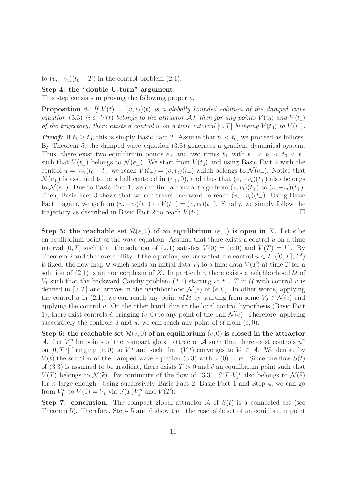to  $(v, -v_t)(t_0 - T)$  in the control problem  $(2.1)$ .

#### Step 4: the "double U-turn" argument.

This step consists in proving the following property.

**Proposition 6.** If  $V(t) = (v, v_t)(t)$  is a globally bounded solution of the damped wave equation (3.3) (i.e.  $V(t)$  belongs to the attractor A), then for any points  $V(t_0)$  and  $V(t_1)$ of the trajectory, there exists a control u on a time interval  $[0, T]$  bringing  $V(t_0)$  to  $V(t_1)$ .

**Proof:** If  $t_1 \geq t_0$ , this is simply Basic Fact 2. Assume that  $t_1 < t_0$ , we proceed as follows. By Theorem 5, the damped wave equation (3.3) generates a gradient dynamical system. Thus, there exist two equilibrium points  $e_{\pm}$  and two times  $t_{\pm}$  with  $t_{-} < t_1 < t_0 < t_{+}$ such that  $V(t_{\pm})$  belongs to  $\mathcal{N}(e_{\pm})$ . We start from  $V(t_0)$  and using Basic Fact 2 with the control  $u = \gamma v_t(t_0 + t)$ , we reach  $V(t_+) = (v, v_t)(t_+)$  which belongs to  $\mathcal{N}(e_+)$ . Notice that  $\mathcal{N}(e_+)$  is assumed to be a ball centered in  $(e_+, 0)$ , and thus that  $(v, -v_t)(t_+)$  also belongs to  $\mathcal{N}(e_+)$ . Due to Basic Fact 1, we can find a control to go from  $(v, v_t)(t_+)$  to  $(v, -v_t)(t_+)$ . Then, Basic Fact 3 shows that we can travel backward to reach  $(v, -v_t)(t_+)$ . Using Basic Fact 1 again, we go from  $(v, -v_t)(t_+)$  to  $V(t_-) = (v, v_t)(t_-)$ . Finally, we simply follow the trajectory as described in Basic Fact 2 to reach  $V(t_1)$ .

Step 5: the reachable set  $\mathcal{R}(e, 0)$  of an equilibrium  $(e, 0)$  is open in X. Let e be an equilibrium point of the wave equation. Assume that there exists a control  $u$  on a time interval [0, T] such that the solution of (2.1) satisfies  $V(0) = (e, 0)$  and  $V(T) = V_1$ . By Theorem 2 and the reversibility of the equation, we know that if a control  $u \in L^1([0,T], L^2)$ is fixed, the flow map  $\Phi$  which sends an initial data  $V_0$  to a final data  $V(T)$  at time T for a solution of  $(2.1)$  is an homeorphism of X. In particular, there exists a neighborhood U of  $V_1$  such that the backward Cauchy problem (2.1) starting at  $t = T$  in U with control u is defined in  $[0, T]$  and arrives in the neighborhood  $\mathcal{N}(e)$  of  $(e, 0)$ . In other words, applying the control u in (2.1), we can reach any point of U by starting from some  $V_0 \in \mathcal{N}(e)$  and applying the control  $u$ . On the other hand, due to the local control hypothesis (Basic Fact 1), there exist controls  $\tilde{u}$  bringing  $(e, 0)$  to any point of the ball  $\mathcal{N}(e)$ . Therefore, applying successively the controls  $\tilde{u}$  and u, we can reach any point of  $\mathcal{U}$  from  $(e, 0)$ .

Step 6: the reachable set  $\mathcal{R}(e, 0)$  of an equilibrium  $(e, 0)$  is closed in the attractor A. Let  $V_1^n$  be points of the compact global attractor A such that there exist controls  $u^n$ on  $[0, T^n]$  bringing  $(e, 0)$  to  $V_1^n$  and such that  $(V_1^n)$  converges to  $V_1 \in \mathcal{A}$ . We denote by  $V(t)$  the solution of the damped wave equation (3.3) with  $V(0) = V_1$ . Since the flow  $S(t)$ of (3.3) is assumed to be gradient, there exists  $T > 0$  and  $\tilde{e}$  an equilibrium point such that  $V(T)$  belongs to  $\mathcal{N}(\tilde{e})$ . By continuity of the flow of (3.3),  $S(T)V_1^n$  also belongs to  $\mathcal{N}(\tilde{e})$ for n large enough. Using successively Basic Fact 2, Basic Fact 1 and Step 4, we can go from  $V_1^n$  to  $V(0) = V_1$  via  $S(T)V_1^n$  and  $V(T)$ .

**Step 7: conclusion.** The compact global attractor  $\mathcal A$  of  $S(t)$  is a connected set (see Theorem 5). Therefore, Steps 5 and 6 show that the reachable set of an equilibrium point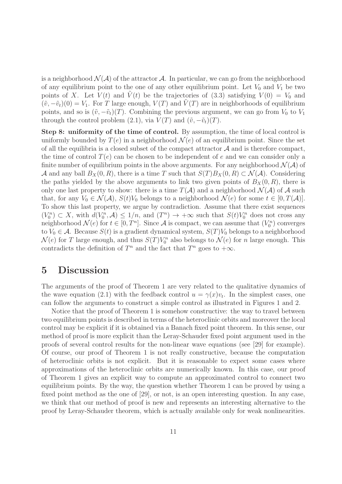is a neighborhood  $\mathcal{N}(\mathcal{A})$  of the attractor  $\mathcal{A}$ . In particular, we can go from the neighborhood of any equilibrium point to the one of any other equilibrium point. Let  $V_0$  and  $V_1$  be two points of X. Let  $V(t)$  and  $\tilde{V}(t)$  be the trajectories of (3.3) satisfying  $V(0) = V_0$  and  $(\tilde{v}, -\tilde{v}_t)(0) = V_1$ . For T large enough,  $V(T)$  and  $\tilde{V}(T)$  are in neighborhoods of equilibrium points, and so is  $(\tilde{v}, -\tilde{v}_t)(T)$ . Combining the previous argument, we can go from  $V_0$  to  $V_1$ through the control problem (2.1), via  $V(T)$  and  $(\tilde{v}, -\tilde{v}_t)(T)$ .

Step 8: uniformity of the time of control. By assumption, the time of local control is uniformly bounded by  $T(e)$  in a neighborhood  $\mathcal{N}(e)$  of an equilibrium point. Since the set of all the equilibria is a closed subset of the compact attractor  $A$  and is therefore compact, the time of control  $T(e)$  can be chosen to be independent of e and we can consider only a finite number of equilibrium points in the above arguments. For any neighborhood  $\mathcal{N}(\mathcal{A})$  of A and any ball  $B_X(0, R)$ , there is a time T such that  $S(T)B_X(0, R) \subset \mathcal{N}(\mathcal{A})$ . Considering the paths yielded by the above arguments to link two given points of  $B_X(0, R)$ , there is only one last property to show: there is a time  $T(A)$  and a neighborhood  $\mathcal{N}(A)$  of A such that, for any  $V_0 \in \mathcal{N}(\mathcal{A})$ ,  $S(t)V_0$  belongs to a neighborhood  $\mathcal{N}(e)$  for some  $t \in [0, T(\mathcal{A})]$ . To show this last property, we argue by contradiction. Assume that there exist sequences  $(V_0^n) \subset X$ , with  $d(V_0^n, \mathcal{A}) \leq 1/n$ , and  $(T^n) \to +\infty$  such that  $S(t)V_0^n$  does not cross any neighborhood  $\mathcal{N}(e)$  for  $t \in [0, T^n]$ . Since A is compact, we can assume that  $(V_0^n)$  converges to  $V_0 \in \mathcal{A}$ . Because  $S(t)$  is a gradient dynamical system,  $S(T)V_0$  belongs to a neighborhood  $\mathcal{N}(e)$  for T large enough, and thus  $S(T)V_0^n$  also belongs to  $\mathcal{N}(e)$  for n large enough. This contradicts the definition of  $T^n$  and the fact that  $T^n$  goes to  $+\infty$ .

### 5 Discussion

The arguments of the proof of Theorem 1 are very related to the qualitative dynamics of the wave equation (2.1) with the feedback control  $u = \gamma(x)v_t$ . In the simplest cases, one can follow the arguments to construct a simple control as illustrated in Figures 1 and 2.

Notice that the proof of Theorem 1 is somehow constructive: the way to travel between two equilibrium points is described in terms of the heteroclinic orbits and moreover the local control may be explicit if it is obtained via a Banach fixed point theorem. In this sense, our method of proof is more explicit than the Leray-Schauder fixed point argument used in the proofs of several control results for the non-linear wave equations (see [29] for example). Of course, our proof of Theorem 1 is not really constructive, because the computation of heteroclinic orbits is not explicit. But it is reasonable to expect some cases where approximations of the heteroclinic orbits are numerically known. In this case, our proof of Theorem 1 gives an explicit way to compute an approximated control to connect two equilibrium points. By the way, the question whether Theorem 1 can be proved by using a fixed point method as the one of [29], or not, is an open interesting question. In any case, we think that our method of proof is new and represents an interesting alternative to the proof by Leray-Schauder theorem, which is actually available only for weak nonlinearities.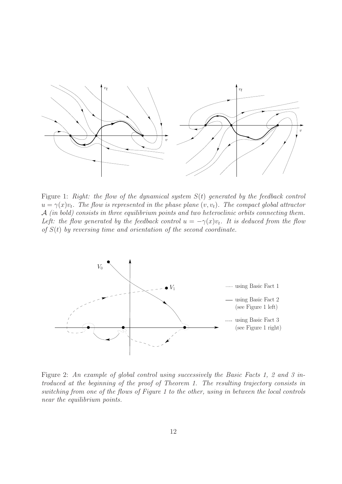

Figure 1: Right: the flow of the dynamical system  $S(t)$  generated by the feedback control  $u = \gamma(x)v_t$ . The flow is represented in the phase plane  $(v, v_t)$ . The compact global attractor A (in bold) consists in three equilibrium points and two heteroclinic orbits connecting them. Left: the flow generated by the feedback control  $u = -\gamma(x)v_t$ . It is deduced from the flow of  $S(t)$  by reversing time and orientation of the second coordinate.



Figure 2: An example of global control using successively the Basic Facts 1, 2 and 3 introduced at the beginning of the proof of Theorem 1. The resulting trajectory consists in switching from one of the flows of Figure 1 to the other, using in between the local controls near the equilibrium points.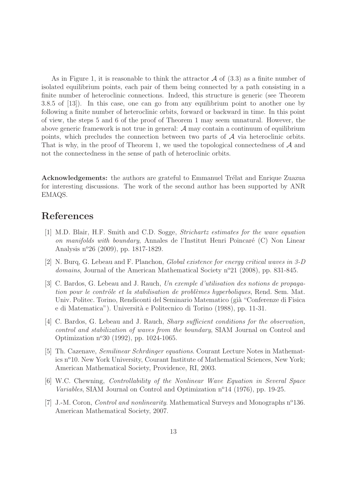As in Figure 1, it is reasonable to think the attractor  $\mathcal A$  of (3.3) as a finite number of isolated equilibrium points, each pair of them being connected by a path consisting in a finite number of heteroclinic connections. Indeed, this structure is generic (see Theorem 3.8.5 of [13]). In this case, one can go from any equilibrium point to another one by following a finite number of heteroclinic orbits, forward or backward in time. In this point of view, the steps 5 and 6 of the proof of Theorem 1 may seem unnatural. However, the above generic framework is not true in general: A may contain a continuum of equilibrium points, which precludes the connection between two parts of  $A$  via heteroclinic orbits. That is why, in the proof of Theorem 1, we used the topological connectedness of  $A$  and not the connectedness in the sense of path of heteroclinic orbits.

Acknowledgements: the authors are grateful to Emmanuel Trélat and Enrique Zuazua for interesting discussions. The work of the second author has been supported by ANR EMAQS.

#### References

- [1] M.D. Blair, H.F. Smith and C.D. Sogge, Strichartz estimates for the wave equation on manifolds with boundary, Annales de l'Institut Henri Poincaré  $(C)$  Non Linear Analysis n<sup>o</sup>26 (2009), pp. 1817-1829.
- [2] N. Burq, G. Lebeau and F. Planchon, Global existence for energy critical waves in 3-D domains, Journal of the American Mathematical Society  $n^{\circ}21$  (2008), pp. 831-845.
- [3] C. Bardos, G. Lebeau and J. Rauch, Un exemple d'utilisation des notions de propagation pour le contrôle et la stabilisation de problèmes hyperboliques, Rend. Sem. Mat. Univ. Politec. Torino, Rendiconti del Seminario Matematico (già "Conferenze di Fisica e di Matematica"). Universit`a e Politecnico di Torino (1988), pp. 11-31.
- [4] C. Bardos, G. Lebeau and J. Rauch, *Sharp sufficient conditions for the observation*, control and stabilization of waves from the boundary, SIAM Journal on Control and Optimization n<sup>o</sup>30 (1992), pp. 1024-1065.
- [5] Th. Cazenave, Semilinear Schrdinger equations. Courant Lecture Notes in Mathematics n<sup>o</sup>10. New York University, Courant Institute of Mathematical Sciences, New York; American Mathematical Society, Providence, RI, 2003.
- [6] W.C. Chewning, Controllability of the Nonlinear Wave Equation in Several Space Variables, SIAM Journal on Control and Optimization  $n^{\circ}14$  (1976), pp. 19-25.
- [7] J.-M. Coron, *Control and nonlinearity*. Mathematical Surveys and Monographs  $n^{\circ}136$ . American Mathematical Society, 2007.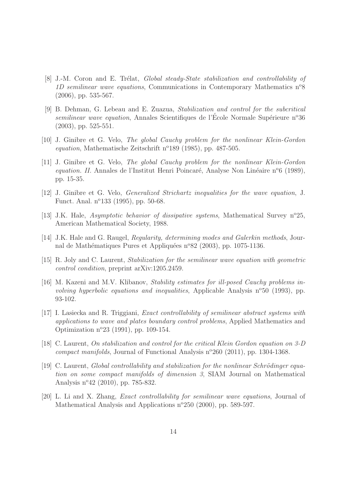- [8] J.-M. Coron and E. Trélat, *Global steady-State stabilization and controllability of* 1D semilinear wave equations, Communications in Contemporary Mathematics  $n^{\circ}8$ (2006), pp. 535-567.
- [9] B. Dehman, G. Lebeau and E. Zuazua, Stabilization and control for the subcritical semilinear wave equation, Annales Scientifiques de l'Ecole Normale Supérieure n°36 (2003), pp. 525-551.
- [10] J. Ginibre et G. Velo, The global Cauchy problem for the nonlinear Klein-Gordon equation, Mathematische Zeitschrift n°189 (1985), pp. 487-505.
- [11] J. Ginibre et G. Velo, The global Cauchy problem for the nonlinear Klein-Gordon equation. II. Annales de l'Institut Henri Poincaré, Analyse Non Linéaire n<sup>o</sup>6 (1989), pp. 15-35.
- [12] J. Ginibre et G. Velo, Generalized Strichartz inequalities for the wave equation, J. Funct. Anal. n°133 (1995), pp. 50-68.
- [13] J.K. Hale, Asymptotic behavior of dissipative systems, Mathematical Survey n<sup>o</sup>25, American Mathematical Society, 1988.
- [14] J.K. Hale and G. Raugel, Regularity, determining modes and Galerkin methods, Journal de Mathématiques Pures et Appliquées n°82 (2003), pp. 1075-1136.
- [15] R. Joly and C. Laurent, Stabilization for the semilinear wave equation with geometric control condition, preprint arXiv:1205.2459.
- [16] M. Kazeni and M.V. Klibanov, Stability estimates for ill-posed Cauchy problems involving hyperbolic equations and inequalities, Applicable Analysis  $n^{\circ}50$  (1993), pp. 93-102.
- [17] I. Lasiecka and R. Triggiani, Exact controllability of semilinear abstract systems with applications to wave and plates boundary control problems, Applied Mathematics and Optimization n<sup>o</sup>23 (1991), pp. 109-154.
- [18] C. Laurent, On stabilization and control for the critical Klein Gordon equation on 3-D compact manifolds, Journal of Functional Analysis  $n^{\circ}260$  (2011), pp. 1304-1368.
- [19] C. Laurent, Global controllability and stabilization for the nonlinear Schrödinger equation on some compact manifolds of dimension 3, SIAM Journal on Mathematical Analysis n°42 (2010), pp. 785-832.
- [20] L. Li and X. Zhang, Exact controllability for semilinear wave equations, Journal of Mathematical Analysis and Applications n°250 (2000), pp. 589-597.